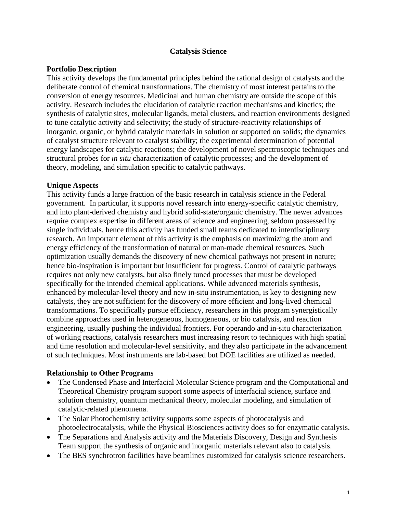### **Catalysis Science**

### **Portfolio Description**

This activity develops the fundamental principles behind the rational design of catalysts and the deliberate control of chemical transformations. The chemistry of most interest pertains to the conversion of energy resources. Medicinal and human chemistry are outside the scope of this activity. Research includes the elucidation of catalytic reaction mechanisms and kinetics; the synthesis of catalytic sites, molecular ligands, metal clusters, and reaction environments designed to tune catalytic activity and selectivity; the study of structure-reactivity relationships of inorganic, organic, or hybrid catalytic materials in solution or supported on solids; the dynamics of catalyst structure relevant to catalyst stability; the experimental determination of potential energy landscapes for catalytic reactions; the development of novel spectroscopic techniques and structural probes for *in situ* characterization of catalytic processes; and the development of theory, modeling, and simulation specific to catalytic pathways.

### **Unique Aspects**

This activity funds a large fraction of the basic research in catalysis science in the Federal government. In particular, it supports novel research into energy-specific catalytic chemistry, and into plant-derived chemistry and hybrid solid-state/organic chemistry. The newer advances require complex expertise in different areas of science and engineering, seldom possessed by single individuals, hence this activity has funded small teams dedicated to interdisciplinary research. An important element of this activity is the emphasis on maximizing the atom and energy efficiency of the transformation of natural or man-made chemical resources. Such optimization usually demands the discovery of new chemical pathways not present in nature; hence bio-inspiration is important but insufficient for progress. Control of catalytic pathways requires not only new catalysts, but also finely tuned processes that must be developed specifically for the intended chemical applications. While advanced materials synthesis, enhanced by molecular-level theory and new in-situ instrumentation, is key to designing new catalysts, they are not sufficient for the discovery of more efficient and long-lived chemical transformations. To specifically pursue efficiency, researchers in this program synergistically combine approaches used in heterogeneous, homogeneous, or bio catalysis, and reaction engineering, usually pushing the individual frontiers. For operando and in-situ characterization of working reactions, catalysis researchers must increasing resort to techniques with high spatial and time resolution and molecular-level sensitivity, and they also participate in the advancement of such techniques. Most instruments are lab-based but DOE facilities are utilized as needed.

#### **Relationship to Other Programs**

- The Condensed Phase and Interfacial Molecular Science program and the Computational and Theoretical Chemistry program support some aspects of interfacial science, surface and solution chemistry, quantum mechanical theory, molecular modeling, and simulation of catalytic-related phenomena.
- The Solar Photochemistry activity supports some aspects of photocatalysis and photoelectrocatalysis, while the Physical Biosciences activity does so for enzymatic catalysis.
- The Separations and Analysis activity and the Materials Discovery, Design and Synthesis Team support the synthesis of organic and inorganic materials relevant also to catalysis.
- The BES synchrotron facilities have beamlines customized for catalysis science researchers.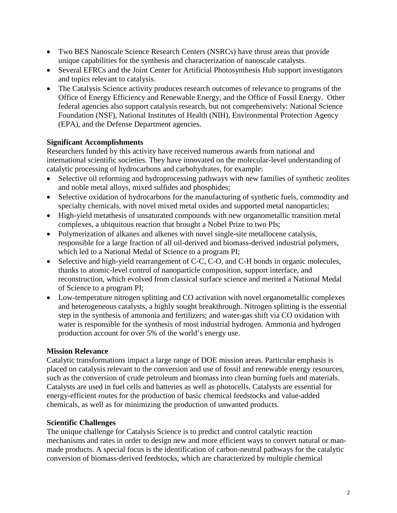- Two BES Nanoscale Science Research Centers (NSRCs) have thrust areas that provide unique capabilities for the synthesis and characterization of nanoscale catalysts.
- Several EFRCs and the Joint Center for Artificial Photosynthesis Hub support investigators and topics relevant to catalysis.
- The Catalysis Science activity produces research outcomes of relevance to programs of the Office of Energy Efficiency and Renewable Energy, and the Office of Fossil Energy. Other federal agencies also support catalysis research, but not comprehensively: National Science Foundation (NSF), National Institutes of Health (NIH), Environmental Protection Agency (EPA), and the Defense Department agencies.

# **Significant Accomplishments**

Researchers funded by this activity have received numerous awards from national and international scientific societies. They have innovated on the molecular-level understanding of catalytic processing of hydrocarbons and carbohydrates, for example:

- Selective oil reforming and hydroprocessing pathways with new families of synthetic zeolites and noble metal alloys, mixed sulfides and phosphides;
- Selective oxidation of hydrocarbons for the manufacturing of synthetic fuels, commodity and specialty chemicals, with novel mixed metal oxides and supported metal nanoparticles;
- High-yield metathesis of unsaturated compounds with new organometallic transition metal complexes, a ubiquitous reaction that brought a Nobel Prize to two PIs;
- Polymerization of alkanes and alkenes with novel single-site metallocene catalysis, responsible for a large fraction of all oil-derived and biomass-derived industrial polymers, which led to a National Medal of Science to a program PI;
- Selective and high-yield rearrangement of C-C, C-O, and C-H bonds in organic molecules, thanks to atomic-level control of nanoparticle composition, support interface, and reconstruction, which evolved from classical surface science and merited a National Medal of Science to a program PI;
- Low-temperature nitrogen splitting and CO activation with novel organometallic complexes and heterogeneous catalysts, a highly sought breakthrough. Nitrogen splitting is the essential step in the synthesis of ammonia and fertilizers; and water-gas shift via CO oxidation with water is responsible for the synthesis of most industrial hydrogen. Ammonia and hydrogen production account for over 5% of the world's energy use.

# **Mission Relevance**

Catalytic transformations impact a large range of DOE mission areas. Particular emphasis is placed on catalysis relevant to the conversion and use of fossil and renewable energy resources, such as the conversion of crude petroleum and biomass into clean burning fuels and materials. Catalysts are used in fuel cells and batteries as well as photocells. Catalysts are essential for energy-efficient routes for the production of basic chemical feedstocks and value-added chemicals, as well as for minimizing the production of unwanted products.

# **Scientific Challenges**

The unique challenge for Catalysis Science is to predict and control catalytic reaction mechanisms and rates in order to design new and more efficient ways to convert natural or manmade products. A special focus is the identification of carbon-neutral pathways for the catalytic conversion of biomass-derived feedstocks, which are characterized by multiple chemical